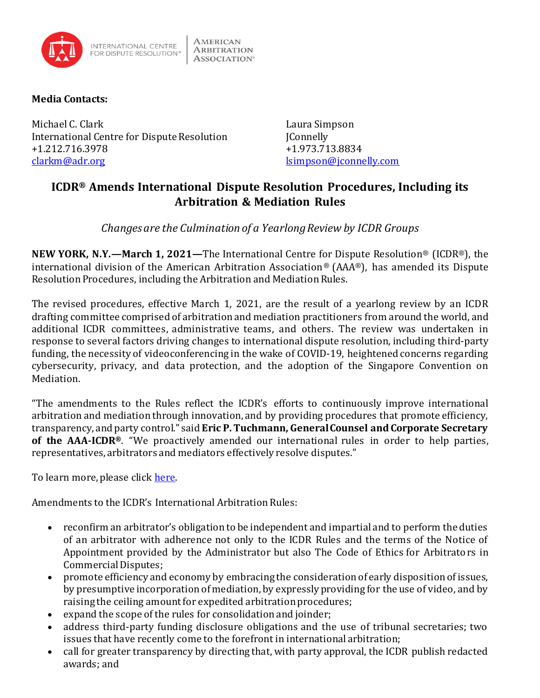

## **Media Contacts:**

Michael C. Clark **Laura Simpson** International Centre for Dispute Resolution JConnelly +1.212.716.3978 +1.973.713.8834 [clarkm@adr.org](mailto:clarkm@adr.org) details are contacted as a set of the set of the set of the set of the set of the set of the set of the set of the set of the set of the set of the set of the set of the set of the set of the set of the set

## **ICDR® Amends International Dispute Resolution Procedures, Including its Arbitration & Mediation Rules**

*Changesare the Culmination of a Yearlong Review by ICDR Groups*

**NEW YORK, N.Y.—March 1, 2021—**The International Centre for Dispute Resolution® (ICDR®), the international division of the American Arbitration Association® (AAA®), has amended its Dispute Resolution Procedures, including the Arbitration and Mediation Rules.

The revised procedures, effective March 1, 2021, are the result of a yearlong review by an ICDR drafting committee comprised of arbitration and mediation practitioners from around the world, and additional ICDR committees, administrative teams, and others. The review was undertaken in response to several factors driving changes to international dispute resolution, including third-party funding, the necessity of videoconferencing in the wake of COVID-19, heightened concerns regarding cybersecurity, privacy, and data protection, and the adoption of the Singapore Convention on Mediation.

"The amendments to the Rules reflect the ICDR's efforts to continuously improve international arbitration and mediation through innovation, and by providing procedures that promote efficiency, transparency, and party control." said **Eric P. Tuchmann, General Counsel and Corporate Secretary of the AAA-ICDR®**. "We proactively amended our international rules in order to help parties, representatives, arbitrators and mediators effectively resolve disputes."

To learn more, please click [here.](https://go.adr.org/2021-icdr-rules-update.html)

Amendments to the ICDR's International Arbitration Rules:

- reconfirm an arbitrator's obligation to be independent and impartial and to perform the duties of an arbitrator with adherence not only to the ICDR Rules and the terms of the Notice of Appointment provided by the Administrator but also The Code of Ethics for Arbitrators in Commercial Disputes;
- promote efficiency and economy by embracing the consideration of early disposition of issues, by presumptive incorporation of mediation, by expressly providing for the use of video, and by raising the ceiling amount for expedited arbitration procedures;
- expand the scope of the rules for consolidation and joinder;
- address third-party funding disclosure obligations and the use of tribunal secretaries; two issues that have recently come to the forefront in international arbitration;
- call for greater transparency by directing that, with party approval, the ICDR publish redacted awards; and